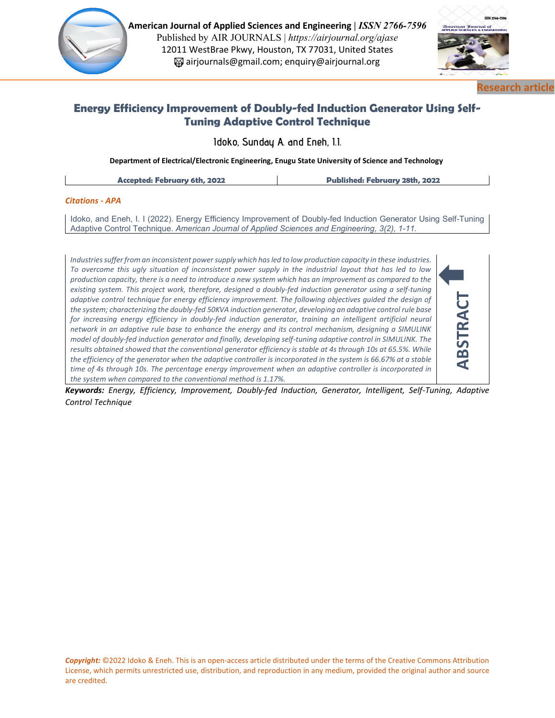

**American Journal of Applied Sciences and Engineering |** *ISSN 2766-7596*  Published by AIR JOURNALS | *https://airjournal.org/ajase* 12011 WestBrae Pkwy, Houston, TX 77031, United States airjournals@gmail.com; enquiry@airjournal.org



**ABSTRACT**

**Research article**

# **Energy Efficiency Improvement of Doubly-fed Induction Generator Using Self-Tuning Adaptive Control Technique**

**Idoko, Sunday A. and Eneh, I.I.**

**Department of Electrical/Electronic Engineering, Enugu State University of Science and Technology**

## *Citations - APA*

Idoko, and Eneh, I. I (2022). Energy Efficiency Improvement of Doubly-fed Induction Generator Using Self-Tuning Adaptive Control Technique. *American Journal of Applied Sciences and Engineering, 3(2), 1-11.*

*Industries suffer from an inconsistent power supply which has led to low production capacity in these industries. To overcome this ugly situation of inconsistent power supply in the industrial layout that has led to low production capacity, there is a need to introduce a new system which has an improvement as compared to the existing system. This project work, therefore, designed a doubly-fed induction generator using a self-tuning*  adaptive control technique for energy efficiency improvement. The following objectives guided the design of *the system; characterizing the doubly-fed 50KVA induction generator, developing an adaptive control rule base*  for *increasing energy efficiency in doubly-fed induction generator, training an intelligent artificial neural network in an adaptive rule base to enhance the energy and its control mechanism, designing a SIMULINK model of doubly-fed induction generator and finally, developing self-tuning adaptive control in SIMULINK. The results obtained showed that the conventional generator efficiency is stable at 4s through 10s at 65.5%. While the efficiency of the generator when the adaptive controller is incorporated in the system is 66.67% at a stable time of 4s through 10s. The percentage energy improvement when an adaptive controller is incorporated in the system when compared to the conventional method is 1.17%.*

*Keywords: Energy, Efficiency, Improvement, Doubly-fed Induction, Generator, Intelligent, Self-Tuning, Adaptive Control Technique*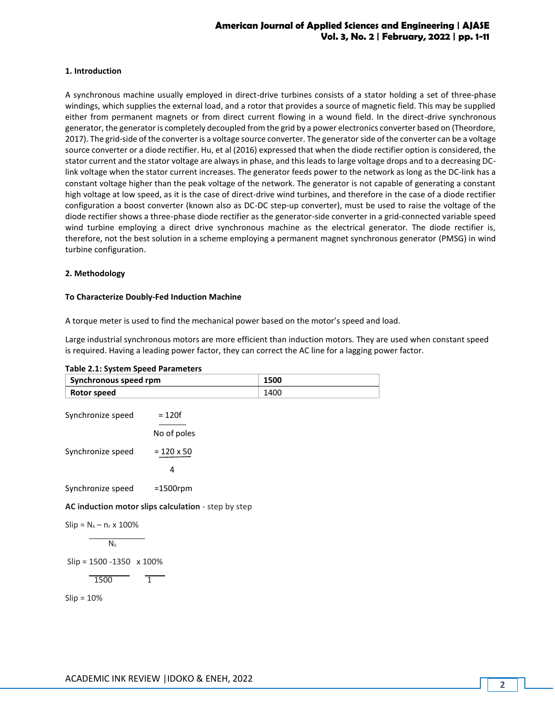# **American Journal of Applied Sciences and Engineering | AJASE Vol. 3, No. 2 | February, 2022 | pp. 1-11**

### **1. Introduction**

A synchronous machine usually employed in direct-drive turbines consists of a stator holding a set of three-phase windings, which supplies the external load, and a rotor that provides a source of magnetic field. This may be supplied either from permanent magnets or from direct current flowing in a wound field. In the direct-drive synchronous generator, the generator is completely decoupled from the grid by a power electronics converter based on (Theordore, 2017). The grid-side of the converter is a voltage source converter. The generator side of the converter can be a voltage source converter or a diode rectifier. Hu, et al (2016) expressed that when the diode rectifier option is considered, the stator current and the stator voltage are always in phase, and this leads to large voltage drops and to a decreasing DClink voltage when the stator current increases. The generator feeds power to the network as long as the DC-link has a constant voltage higher than the peak voltage of the network. The generator is not capable of generating a constant high voltage at low speed, as it is the case of direct-drive wind turbines, and therefore in the case of a diode rectifier configuration a boost converter (known also as DC-DC step-up converter), must be used to raise the voltage of the diode rectifier shows a three-phase diode rectifier as the generator-side converter in a grid-connected variable speed wind turbine employing a direct drive synchronous machine as the electrical generator. The diode rectifier is, therefore, not the best solution in a scheme employing a permanent magnet synchronous generator (PMSG) in wind turbine configuration.

#### **2. Methodology**

#### **To Characterize Doubly-Fed Induction Machine**

A torque meter is used to find the mechanical power based on the motor's speed and load.

Large industrial synchronous motors are more efficient than induction motors. They are used when constant speed is required. Having a leading power factor, they can correct the AC line for a lagging power factor.

| Table 2.1: System Speed Parameters |  |  |
|------------------------------------|--|--|
|------------------------------------|--|--|

| Synchronous speed rpm             |                                                     | 1500 |
|-----------------------------------|-----------------------------------------------------|------|
| Rotor speed                       |                                                     | 1400 |
| Synchronize speed                 | $= 120f$                                            |      |
|                                   | No of poles                                         |      |
| Synchronize speed                 | $= 120 \times 50$                                   |      |
|                                   | 4                                                   |      |
| Synchronize speed                 | $=1500$ rpm                                         |      |
|                                   | AC induction motor slips calculation - step by step |      |
| $Slip = N_s - n_r \times 100\%$   |                                                     |      |
| N <sub>s</sub>                    |                                                     |      |
| $Slip = 1500 - 1350 \times 100\%$ |                                                     |      |
| 1500                              | $\mathbf{1}$                                        |      |
| $Slip = 10%$                      |                                                     |      |
|                                   |                                                     |      |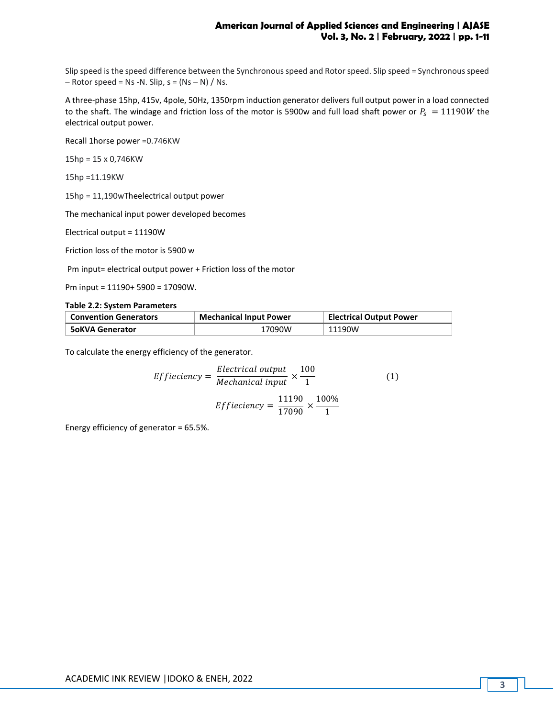Slip speed is the speed difference between the Synchronous speed and Rotor speed. Slip speed = Synchronous speed  $-$  Rotor speed = Ns -N. Slip, s = (Ns  $-$  N) / Ns.

A three-phase 15hp, 415v, 4pole, 50Hz, 1350rpm induction generator delivers full output power in a load connected to the shaft. The windage and friction loss of the motor is 5900w and full load shaft power or  $P_s = 11190W$  the electrical output power.

Recall 1horse power =0.746KW

15hp = 15 x 0,746KW

15hp =11.19KW

15hp = 11,190wTheelectrical output power

The mechanical input power developed becomes

Electrical output = 11190W

Friction loss of the motor is 5900 w

Pm input= electrical output power + Friction loss of the motor

Pm input = 11190+ 5900 = 17090W.

#### **Table 2.2: System Parameters**

| <b>Convention Generators</b> | <b>Mechanical Input Power</b> | <b>Electrical Output Power</b> |
|------------------------------|-------------------------------|--------------------------------|
| ⊦ 5oKVA Generator            | 17090W                        | 11190W                         |

To calculate the energy efficiency of the generator.

$$
Efficiency = \frac{Electrical \ output}{Mechanical \ input} \times \frac{100}{1}
$$
\n
$$
Efficiency = \frac{11190}{17090} \times \frac{100\%}{1}
$$
\n(1)

Energy efficiency of generator = 65.5%.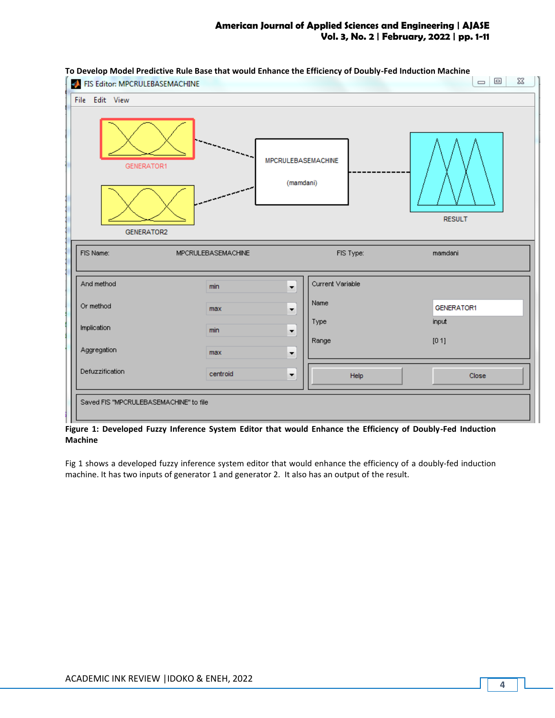# **American Journal of Applied Sciences and Engineering | AJASE Vol. 3, No. 2 | February, 2022 | pp. 1-11**



**Figure 1: Developed Fuzzy Inference System Editor that would Enhance the Efficiency of Doubly-Fed Induction Machine**

Fig 1 shows a developed fuzzy inference system editor that would enhance the efficiency of a doubly-fed induction machine. It has two inputs of generator 1 and generator 2. It also has an output of the result.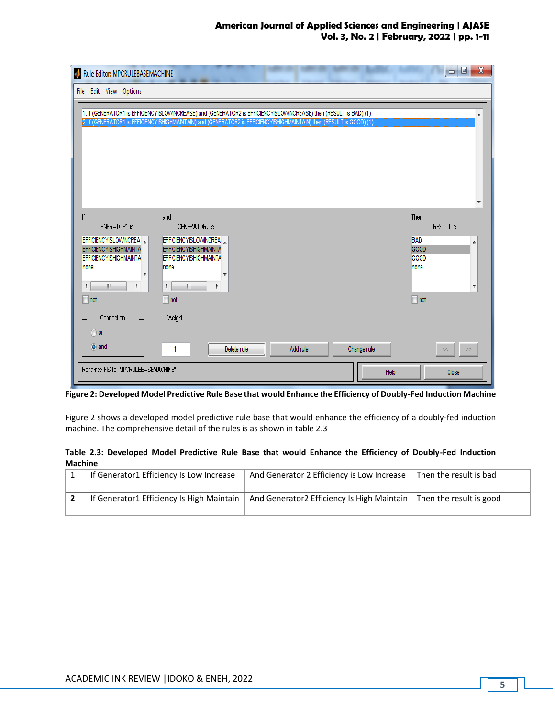# **American Journal of Applied Sciences and Engineering | AJASE Vol. 3, No. 2 | February, 2022 | pp. 1-11**

| $\mathbf x$<br>▣<br>Rule Editor: MPCRULEBASEMACHINE<br>$\Box$                                                                                    |                                                                                                                                                                                                                                             |                                                                                         |  |  |
|--------------------------------------------------------------------------------------------------------------------------------------------------|---------------------------------------------------------------------------------------------------------------------------------------------------------------------------------------------------------------------------------------------|-----------------------------------------------------------------------------------------|--|--|
| File Edit View Options                                                                                                                           |                                                                                                                                                                                                                                             |                                                                                         |  |  |
|                                                                                                                                                  | 1. If (GENERATOR1 is EFFICIENCYISLOWINCREASE) and (GENERATOR2 is EFFICIENCYISLOWINCREASE) then (RESULT is BAD) (1)<br>2. If (GENERATOR1 is EFFICIENCYISHIGHMAINTAIN) and (GENERATOR2 is EFFICIENCYISHIGHMAINTAIN) then (RESULT is GOOD) (1) | $\overline{\nabla}$                                                                     |  |  |
| lf<br>GENERATOR1 is<br>EFFICIENCYISLOWINCREA<br><b>EFFICIENCYISHIGHMAINTA</b><br><b>EFFICIENCYISHIGHMAINTA</b><br>Inone<br>W.<br>∢<br>$\Box$ not | and<br>GENERATOR2 is<br>EFFICIENCYISLOWINCREA<br>EFFICIENCYISHIGHMAINTA<br><b>EFFICIENCYISHIGHMAINTA</b><br>none<br>$\left\Vert \cdot\right\Vert$<br>$\overline{\phantom{a}}$<br>$\Box$ not                                                 | Then<br><b>RESULT</b> is<br><b>BAD</b><br>▲<br>GOOD<br>GOOD<br>Inone<br>٠<br>$\Box$ not |  |  |
| Connection<br>∩ or<br>$\overline{O}$ and                                                                                                         | Weight:<br>Change rule<br>Add rule<br>Delete rule<br>1                                                                                                                                                                                      | $>$<br>$<\,$                                                                            |  |  |
|                                                                                                                                                  | Help                                                                                                                                                                                                                                        | Renamed FIS to "MPCRULEBASEMACHINE"<br>Close                                            |  |  |

**Figure 2: Developed Model Predictive Rule Base that would Enhance the Efficiency of Doubly-Fed Induction Machine**

Figure 2 shows a developed model predictive rule base that would enhance the efficiency of a doubly-fed induction machine. The comprehensive detail of the rules is as shown in table 2.3

## **Table 2.3: Developed Model Predictive Rule Base that would Enhance the Efficiency of Doubly-Fed Induction Machine**

| If Generator1 Efficiency Is Low Increase  | And Generator 2 Efficiency is Low Increase | Then the result is bad  |
|-------------------------------------------|--------------------------------------------|-------------------------|
| If Generator1 Efficiency Is High Maintain | And Generator2 Efficiency Is High Maintain | Then the result is good |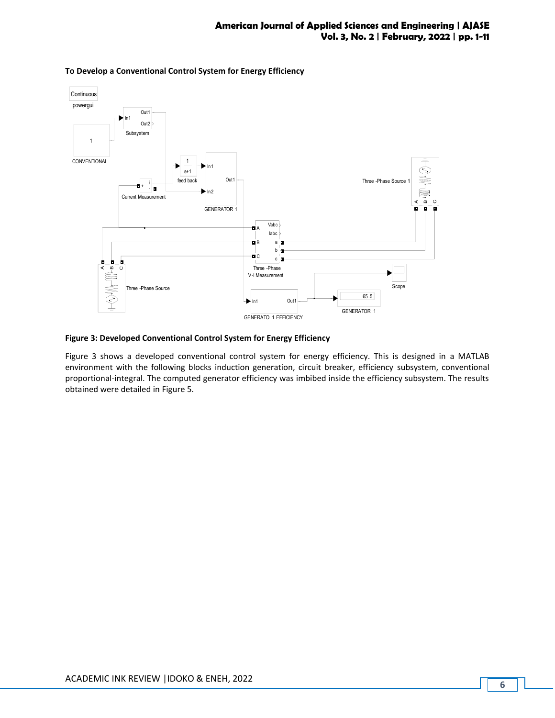

## **To Develop a Conventional Control System for Energy Efficiency**

### **Figure 3: Developed Conventional Control System for Energy Efficiency**

Figure 3 shows a developed conventional control system for energy efficiency. This is designed in a MATLAB environment with the following blocks induction generation, circuit breaker, efficiency subsystem, conventional proportional-integral. The computed generator efficiency was imbibed inside the efficiency subsystem. The results obtained were detailed in Figure 5.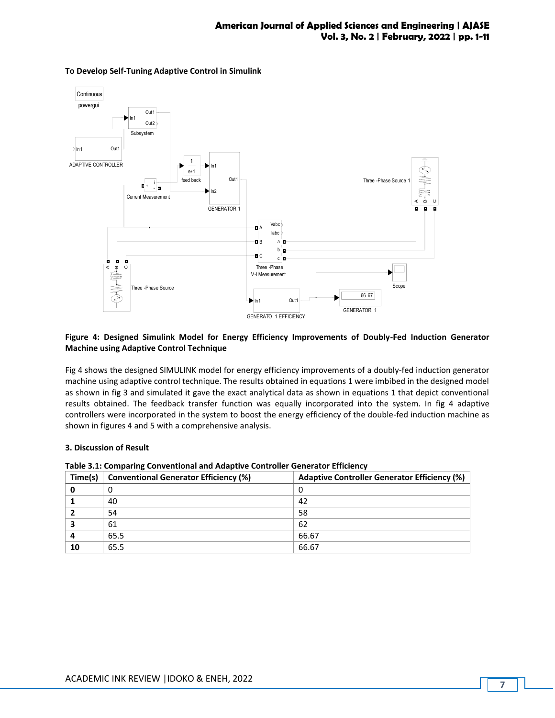

### **To Develop Self-Tuning Adaptive Control in Simulink**

## **Figure 4: Designed Simulink Model for Energy Efficiency Improvements of Doubly-Fed Induction Generator Machine using Adaptive Control Technique**

Fig 4 shows the designed SIMULINK model for energy efficiency improvements of a doubly-fed induction generator machine using adaptive control technique. The results obtained in equations 1 were imbibed in the designed model as shown in fig 3 and simulated it gave the exact analytical data as shown in equations 1 that depict conventional results obtained. The feedback transfer function was equally incorporated into the system. In fig 4 adaptive controllers were incorporated in the system to boost the energy efficiency of the double-fed induction machine as shown in figures 4 and 5 with a comprehensive analysis.

### **3. Discussion of Result**

| Time(s) | <b>Conventional Generator Efficiency (%)</b> | Adaptive Controller Generator Efficiency (%) |
|---------|----------------------------------------------|----------------------------------------------|
| O       | 0                                            |                                              |
|         | 40                                           | 42                                           |
|         | 54                                           | 58                                           |
|         | 61                                           | 62                                           |
|         | 65.5                                         | 66.67                                        |
| 10      | 65.5                                         | 66.67                                        |

**Table 3.1: Comparing Conventional and Adaptive Controller Generator Efficiency**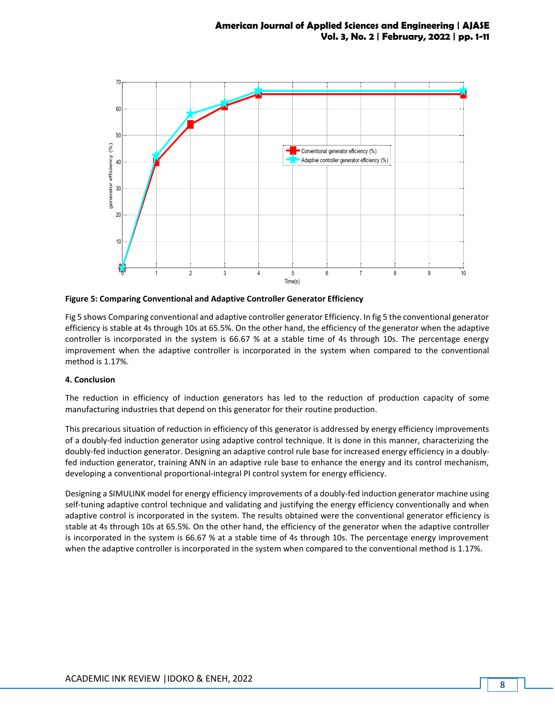

**Figure 5: Comparing Conventional and Adaptive Controller Generator Efficiency**

Fig 5 shows Comparing conventional and adaptive controller generator Efficiency. In fig 5 the conventional generator efficiency is stable at 4s through 10s at 65.5%. On the other hand, the efficiency of the generator when the adaptive controller is incorporated in the system is 66.67 % at a stable time of 4s through 10s. The percentage energy improvement when the adaptive controller is incorporated in the system when compared to the conventional method is 1.17%.

## **4. Conclusion**

The reduction in efficiency of induction generators has led to the reduction of production capacity of some manufacturing industries that depend on this generator for their routine production.

This precarious situation of reduction in efficiency of this generator is addressed by energy efficiency improvements of a doubly-fed induction generator using adaptive control technique. It is done in this manner, characterizing the doubly-fed induction generator. Designing an adaptive control rule base for increased energy efficiency in a doublyfed induction generator, training ANN in an adaptive rule base to enhance the energy and its control mechanism, developing a conventional proportional-integral PI control system for energy efficiency.

Designing a SIMULINK model for energy efficiency improvements of a doubly-fed induction generator machine using self-tuning adaptive control technique and validating and justifying the energy efficiency conventionally and when adaptive control is incorporated in the system. The results obtained were the conventional generator efficiency is stable at 4s through 10s at 65.5%. On the other hand, the efficiency of the generator when the adaptive controller is incorporated in the system is 66.67 % at a stable time of 4s through 10s. The percentage energy improvement when the adaptive controller is incorporated in the system when compared to the conventional method is 1.17%.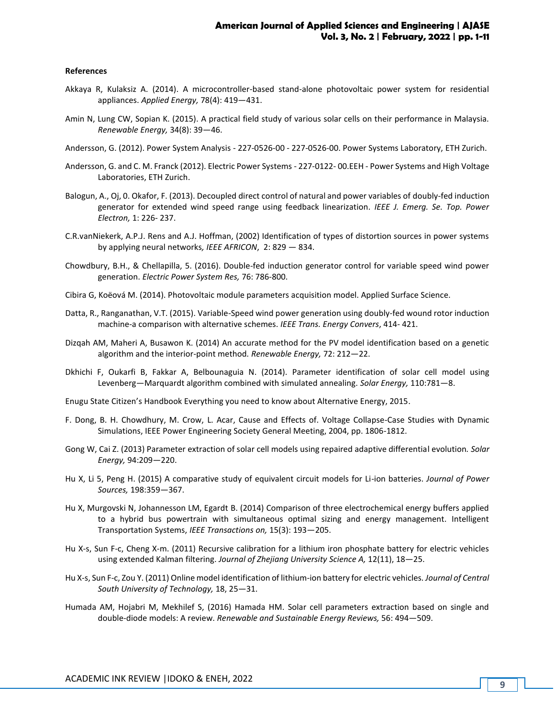#### **References**

- Akkaya R, Kulaksiz A. (2014). A microcontroller-based stand-alone photovoltaic power system for residential appliances. *Applied Energy,* 78(4): 419—431.
- Amin N, Lung CW, Sopian K. (2015). A practical field study of various solar cells on their performance in Malaysia. *Renewable Energy,* 34(8): 39—46.
- Andersson, G. (2012). Power System Analysis 227-0526-00 227-0526-00. Power Systems Laboratory, ETH Zurich.
- Andersson, G. and C. M. Franck (2012). Electric Power Systems 227-0122- 00.EEH Power Systems and High Voltage Laboratories, ETH Zurich.
- Balogun, A., Oj, 0. Okafor, F. (2013). Decoupled direct control of natural and power variables of doubly-fed induction generator for extended wind speed range using feedback linearization*. IEEE J. Emerg. Se. Top. Power Electron,* 1: 226- 237.
- C.R.vanNiekerk, A.P.J. Rens and A.J. Hoffman, (2002) Identification of types of distortion sources in power systems by applying neural networks*, IEEE AFRICON*, 2: 829 — 834.
- Chowdbury, B.H., & Chellapilla, 5. (2016). Double-fed induction generator control for variable speed wind power generation. *Electric Power System Res,* 76: 786-800.
- Cibira G, Koëová M. (2014). Photovoltaic module parameters acquisition model. Applied Surface Science.
- Datta, R., Ranganathan, V.T. (2015). Variable-Speed wind power generation using doubly-fed wound rotor induction machine-a comparison with alternative schemes. *IEEE Trans. Energy Convers*, 414- 421.
- Dizqah AM, Maheri A, Busawon K. (2014) An accurate method for the PV model identification based on a genetic algorithm and the interior-point method*. Renewable Energy,* 72: 212—22.
- Dkhichi F, Oukarfi B, Fakkar A, Belbounaguia N. (2014). Parameter identification of solar cell model using Levenberg—Marquardt algorithm combined with simulated annealing. *Solar Energy,* 110:781—8.
- Enugu State Citizen's Handbook Everything you need to know about Alternative Energy, 2015.
- F. Dong, B. H. Chowdhury, M. Crow, L. Acar, Cause and Effects of. Voltage Collapse-Case Studies with Dynamic Simulations, IEEE Power Engineering Society General Meeting, 2004, pp. 1806-1812.
- Gong W, Cai Z. (2013) Parameter extraction of solar cell models using repaired adaptive differential evolution*. Solar Energy,* 94:209—220.
- Hu X, Li 5, Peng H. (2015) A comparative study of equivalent circuit models for Li-ion batteries. *Journal of Power Sources,* 198:359—367.
- Hu X, Murgovski N, Johannesson LM, Egardt B. (2014) Comparison of three electrochemical energy buffers applied to a hybrid bus powertrain with simultaneous optimal sizing and energy management. Intelligent Transportation Systems, *IEEE Transactions on,* 15(3): 193—205.
- Hu X-s, Sun F-c, Cheng X-m. (2011) Recursive calibration for a lithium iron phosphate battery for electric vehicles using extended Kalman filtering. *Journal of Zhejiang University Science A,* 12(11), 18—25.
- Hu X-s, Sun F-c, Zou Y. (2011) Online model identification of lithium-ion battery for electric vehicles*. Journal of Central South University of Technology,* 18, 25—31.
- Humada AM, Hojabri M, Mekhilef S, (2016) Hamada HM. Solar cell parameters extraction based on single and double-diode models: A review. *Renewable and Sustainable Energy Reviews,* 56: 494—509.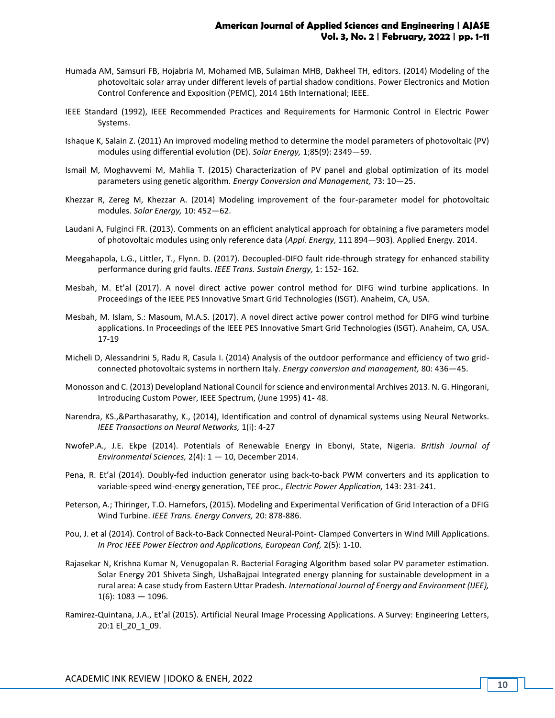- Humada AM, Samsuri FB, Hojabria M, Mohamed MB, Sulaiman MHB, Dakheel TH, editors. (2014) Modeling of the photovoltaic solar array under different levels of partial shadow conditions. Power Electronics and Motion Control Conference and Exposition (PEMC), 2014 16th International; IEEE.
- IEEE Standard (1992), IEEE Recommended Practices and Requirements for Harmonic Control in Electric Power Systems.
- Ishaque K, Salain Z. (2011) An improved modeling method to determine the model parameters of photovoltaic (PV) modules using differential evolution (DE). *Solar Energy,* 1;85(9): 2349—59.
- Ismail M, Moghavvemi M, Mahlia T. (2015) Characterization of PV panel and global optimization of its model parameters using genetic algorithm. *Energy Conversion and Management,* 73: 10—25.
- Khezzar R, Zereg M, Khezzar A. (2014) Modeling improvement of the four-parameter model for photovoltaic modules*. Solar Energy,* 10: 452—62.
- Laudani A, Fulginci FR. (2013). Comments on an efficient analytical approach for obtaining a five parameters model of photovoltaic modules using only reference data (*Appl. Energy,* 111 894—903). Applied Energy. 2014.
- Meegahapola, L.G., Littler, T., Flynn. D. (2017). Decoupled-DIFO fault ride-through strategy for enhanced stability performance during grid faults. *IEEE Trans. Sustain Energy,* 1: 152- 162.
- Mesbah, M. Et'al (2017). A novel direct active power control method for DIFG wind turbine applications. In Proceedings of the IEEE PES Innovative Smart Grid Technologies (ISGT). Anaheim, CA, USA.
- Mesbah, M. Islam, S.: Masoum, M.A.S. (2017). A novel direct active power control method for DIFG wind turbine applications. In Proceedings of the IEEE PES Innovative Smart Grid Technologies (ISGT). Anaheim, CA, USA. 17-19
- Micheli D, Alessandrini 5, Radu R, Casula I. (2014) Analysis of the outdoor performance and efficiency of two gridconnected photovoltaic systems in northern Italy. *Energy conversion and management,* 80: 436—45.
- Monosson and C. (2013) Developland National Council for science and environmental Archives 2013. N. G. Hingorani, Introducing Custom Power, IEEE Spectrum, (June 1995) 41- 48.
- Narendra, KS.,&Parthasarathy, K., (2014), Identification and control of dynamical systems using Neural Networks. *IEEE Transactions on Neural Networks,* 1(i): 4-27
- NwofeP.A., J.E. Ekpe (2014). Potentials of Renewable Energy in Ebonyi, State, Nigeria. *British Journal of Environmental Sciences,* 2(4): 1 — 10, December 2014.
- Pena, R. Et'al (2014). Doubly-fed induction generator using back-to-back PWM converters and its application to variable-speed wind-energy generation, TEE proc., *Electric Power Application,* 143: 231-241.
- Peterson, A.; Thiringer, T.O. Harnefors, (2015). Modeling and Experimental Verification of Grid Interaction of a DFIG Wind Turbine. *IEEE Trans. Energy Convers,* 20: 878-886.
- Pou, J. et al (2014). Control of Back-to-Back Connected Neural-Point- Clamped Converters in Wind Mill Applications. *In Proc IEEE Power Electron and Applications, European Conf,* 2(5): 1-10.
- Rajasekar N, Krishna Kumar N, Venugopalan R. Bacterial Foraging Algorithm based solar PV parameter estimation. Solar Energy 201 Shiveta Singh, UshaBajpai Integrated energy planning for sustainable development in a rural area: A case study from Eastern Uttar Pradesh. *International Journal of Energy and Environment (IJEE),*  $1(6)$ : 1083 - 1096.
- Ramirez-Quintana, J.A., Et'al (2015). Artificial Neural Image Processing Applications. A Survey: Engineering Letters, 20:1 El\_20\_1\_09.